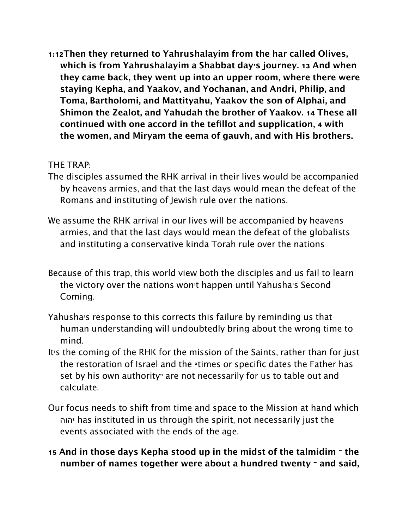**1:12Then they returned to Yahrushalayim from the har called Olives, which is from Yahrushalayim a Shabbat day's journey. 13 And when they came back, they went up into an upper room, where there were staying Kepha, and Yaakov, and Yochanan, and Andri, Philip, and Toma, Bartholomi, and Mattityahu, Yaakov the son of Alphai, and Shimon the Zealot, and Yahudah the brother of Yaakov. 14 These all continued with one accord in the tefillot and supplication, 4 with the women, and Miryam the eema of gauvh, and with His brothers.** 

## THE TRAP:

- The disciples assumed the RHK arrival in their lives would be accompanied by heavens armies, and that the last days would mean the defeat of the Romans and instituting of Jewish rule over the nations.
- We assume the RHK arrival in our lives will be accompanied by heavens armies, and that the last days would mean the defeat of the globalists and instituting a conservative kinda Torah rule over the nations
- Because of this trap, this world view both the disciples and us fail to learn the victory over the nations won't happen until Yahusha's Second Coming.
- Yahusha's response to this corrects this failure by reminding us that human understanding will undoubtedly bring about the wrong time to mind.
- It's the coming of the RHK for the mission of the Saints, rather than for just the restoration of Israel and the "times or specific dates the Father has set by his own authority" are not necessarily for us to table out and calculate.
- Our focus needs to shift from time and space to the Mission at hand which יהוה has instituted in us through the spirit, not necessarily just the events associated with the ends of the age.
- **15 And in those days Kepha stood up in the midst of the talmidim the number of names together were about a hundred twenty – and said,**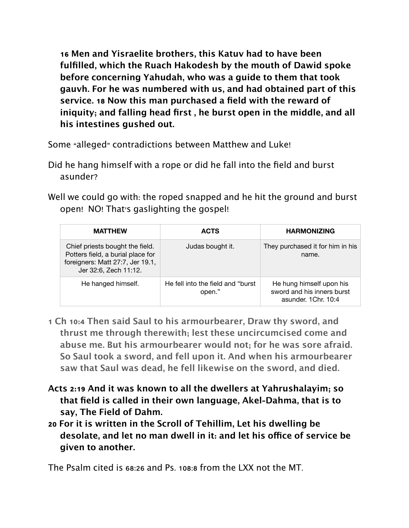**16 Men and Yisraelite brothers, this Katuv had to have been fulfilled, which the Ruach Hakodesh by the mouth of Dawid spoke before concerning Yahudah, who was a guide to them that took gauvh. For he was numbered with us, and had obtained part of this service. 18 Now this man purchased a field with the reward of iniquity; and falling head first , he burst open in the middle, and all his intestines gushed out.** 

Some "alleged" contradictions between Matthew and Luke!

- Did he hang himself with a rope or did he fall into the field and burst asunder?
- Well we could go with: the roped snapped and he hit the ground and burst open! NO! That's gaslighting the gospel!

| <b>MATTHEW</b>                                                                                                                    | <b>ACTS</b>                                 | <b>HARMONIZING</b>                                                            |
|-----------------------------------------------------------------------------------------------------------------------------------|---------------------------------------------|-------------------------------------------------------------------------------|
| Chief priests bought the field.<br>Potters field, a burial place for<br>foreigners: Matt 27:7, Jer 19.1,<br>Jer 32:6, Zech 11:12. | Judas bought it.                            | They purchased it for him in his<br>name.                                     |
| He hanged himself.                                                                                                                | He fell into the field and "burst<br>open." | He hung himself upon his<br>sword and his inners burst<br>asunder, 1Chr. 10:4 |

- **1 Ch 10:4 Then said Saul to his armourbearer, Draw thy sword, and thrust me through therewith; lest these uncircumcised come and abuse me. But his armourbearer would not; for he was sore afraid. So Saul took a sword, and fell upon it. And when his armourbearer saw that Saul was dead, he fell likewise on the sword, and died.**
- **Acts 2:19 And it was known to all the dwellers at Yahrushalayim; so that field is called in their own language, Akel-Dahma, that is to say, The Field of Dahm.**
- **20 For it is written in the Scroll of Tehillim, Let his dwelling be desolate, and let no man dwell in it: and let his ofce of service be given to another.**

The Psalm cited is 68:26 and Ps. 108:8 from the LXX not the MT.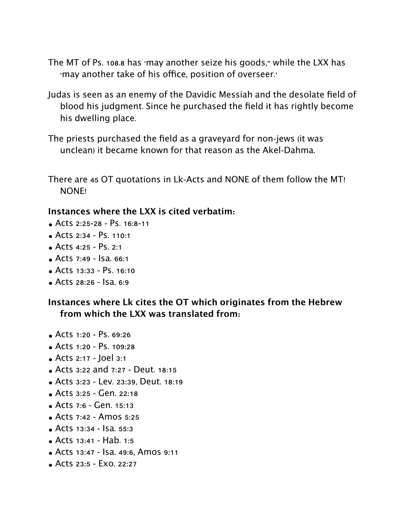- The MT of Ps. 108.8 has 'may another seize his goods," while the LXX has 'may another take of his office, position of overseer.'
- Judas is seen as an enemy of the Davidic Messiah and the desolate field of blood his judgment. Since he purchased the field it has rightly become his dwelling place.
- The priests purchased the field as a graveyard for non-jews (it was unclean) it became known for that reason as the Akel-Dahma.
- There are 45 OT quotations in Lk-Acts and NONE of them follow the MT! NONE!

## **Instances where the LXX is cited verbatim:**

- Acts 2:25-28 Ps. 16:8-11
- Acts 2:34 Ps. 110:1
- Acts  $4:25 PS$ ,  $2:1$
- $\bullet$  Acts 7:49 Isa, 66:1
- Acts 13:33 Ps. 16:10
- Acts 28:26 Isa. 6:9

## **Instances where Lk cites the OT which originates from the Hebrew from which the LXX was translated from:**

- Acts 1:20 Ps. 69:26
- Acts 1:20 Ps. 109:28
- Acts 2:17 Joel 3:1
- Acts 3:22 and 7:27 Deut. 18:15
- Acts 3:23 Lev. 23:39, Deut. 18:19
- Acts 3:25 Gen. 22:18
- Acts 7:6 Gen. 15:13
- Acts 7:42 Amos 5:25
- Acts 13:34 Isa. 55:3
- Acts 13:41 Hab. 1:5
- Acts 13:47 Isa. 49:6, Amos 9:11
- Acts 23:5 Exo. 22:27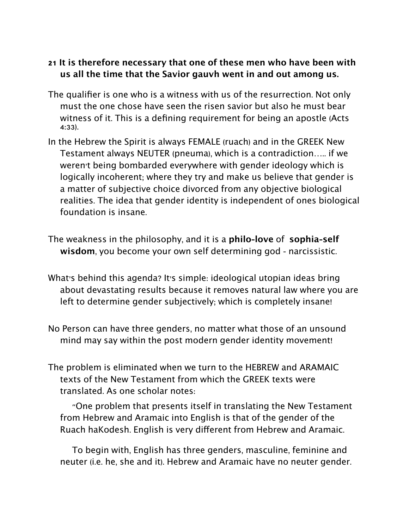## **21 It is therefore necessary that one of these men who have been with us all the time that the Savior gauvh went in and out among us.**

- The qualifier is one who is a witness with us of the resurrection. Not only must the one chose have seen the risen savior but also he must bear witness of it. This is a defining requirement for being an apostle (Acts 4:33).
- In the Hebrew the Spirit is always FEMALE (ruach) and in the GREEK New Testament always NEUTER (pneuma), which is a contradiction….. if we weren't being bombarded everywhere with gender ideology which is logically incoherent; where they try and make us believe that gender is a matter of subjective choice divorced from any objective biological realities. The idea that gender identity is independent of ones biological foundation is insane.
- The weakness in the philosophy, and it is a **philo-love** of **sophia-self wisdom**, you become your own self determining god - narcissistic.
- What's behind this agenda? It's simple: ideological utopian ideas bring about devastating results because it removes natural law where you are left to determine gender subjectively; which is completely insane!
- No Person can have three genders, no matter what those of an unsound mind may say within the post modern gender identity movement!
- The problem is eliminated when we turn to the HEBREW and ARAMAIC texts of the New Testament from which the GREEK texts were translated. As one scholar notes:

"One problem that presents itself in translating the New Testament from Hebrew and Aramaic into English is that of the gender of the Ruach haKodesh. English is very diferent from Hebrew and Aramaic.

To begin with, English has three genders, masculine, feminine and neuter (i.e. he, she and it). Hebrew and Aramaic have no neuter gender.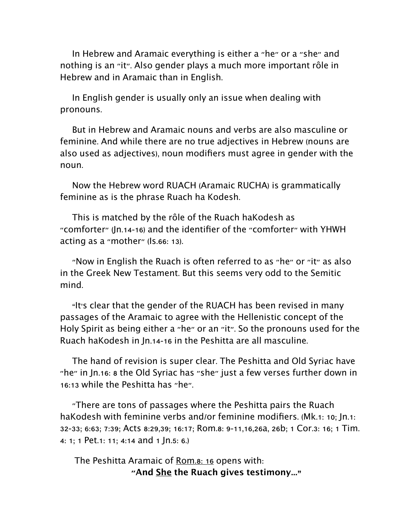In Hebrew and Aramaic everything is either a "he" or a "she" and nothing is an "it". Also gender plays a much more important rôle in Hebrew and in Aramaic than in English.

In English gender is usually only an issue when dealing with pronouns.

But in Hebrew and Aramaic nouns and verbs are also masculine or feminine. And while there are no true adjectives in Hebrew (nouns are also used as adjectives), noun modifiers must agree in gender with the noun.

Now the Hebrew word RUACH (Aramaic RUCHA) is grammatically feminine as is the phrase Ruach ha Kodesh.

This is matched by the rôle of the Ruach haKodesh as "comforter" (Jn.14-16) and the identifier of the "comforter" with YHWH acting as a "mother" (Is.66: 13).

"Now in English the Ruach is often referred to as "he" or "it" as also in the Greek New Testament. But this seems very odd to the Semitic mind.

"It's clear that the gender of the RUACH has been revised in many passages of the Aramaic to agree with the Hellenistic concept of the Holy Spirit as being either a "he" or an "it". So the pronouns used for the Ruach haKodesh in Jn.14-16 in the Peshitta are all masculine.

The hand of revision is super clear. The Peshitta and Old Syriac have "he" in Jn.16: 8 the Old Syriac has "she" just a few verses further down in 16:13 while the Peshitta has "he".

"There are tons of passages where the Peshitta pairs the Ruach haKodesh with feminine verbs and/or feminine modifiers. (Mk.1: 10; Jn.1: 32-33; 6:63; 7:39; Acts 8:29,39; 16:17; Rom.8: 9-11,16,26a, 26b; 1 Cor.3: 16; 1 Tim. 4: 1; 1 Pet.1: 11; 4:14 and 1 Jn.5: 6.)

The Peshitta Aramaic of Rom.8: 16 opens with: **"And She the Ruach gives testimony..."**